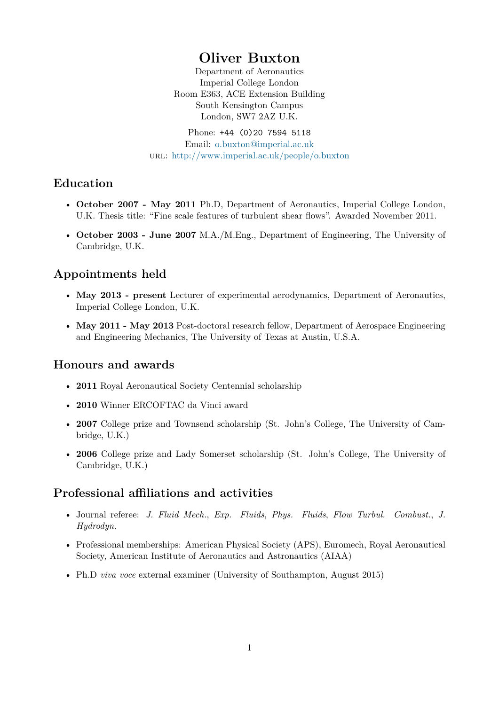# **Oliver Buxton**

Department of Aeronautics Imperial College London Room E363, ACE Extension Building South Kensington Campus London, SW7 2AZ U.K.

Phone: +44 (0)20 7594 5118 Email: o.buxton@imperial.ac.uk url: http://www.imperial.ac.uk/people/o.buxton

### **Education**

- **October 2007 May 2011** [Ph.D, Department of Aeronautics, Im](http://www.imperial.ac.uk/people/o.buxton)perial College London, U.K. Thesis title: "Fine scale features of turbulent shear flows". Awarded November 2011.
- **October 2003 June 2007** M.A./M.Eng., Department of Engineering, The University of Cambridge, U.K.

## **Appointments held**

- **May 2013 present** Lecturer of experimental aerodynamics, Department of Aeronautics, Imperial College London, U.K.
- **May 2011 May 2013** Post-doctoral research fellow, Department of Aerospace Engineering and Engineering Mechanics, The University of Texas at Austin, U.S.A.

### **Honours and awards**

- **2011** Royal Aeronautical Society Centennial scholarship
- **2010** Winner ERCOFTAC da Vinci award
- **2007** College prize and Townsend scholarship (St. John's College, The University of Cambridge, U.K.)
- **2006** College prize and Lady Somerset scholarship (St. John's College, The University of Cambridge, U.K.)

## **Professional affiliations and activities**

- Journal referee: *J. Fluid Mech.*, *Exp. Fluids*, *Phys. Fluids*, *Flow Turbul. Combust.*, *J. Hydrodyn.*
- Professional memberships: American Physical Society (APS), Euromech, Royal Aeronautical Society, American Institute of Aeronautics and Astronautics (AIAA)
- Ph.D *viva voce* external examiner (University of Southampton, August 2015)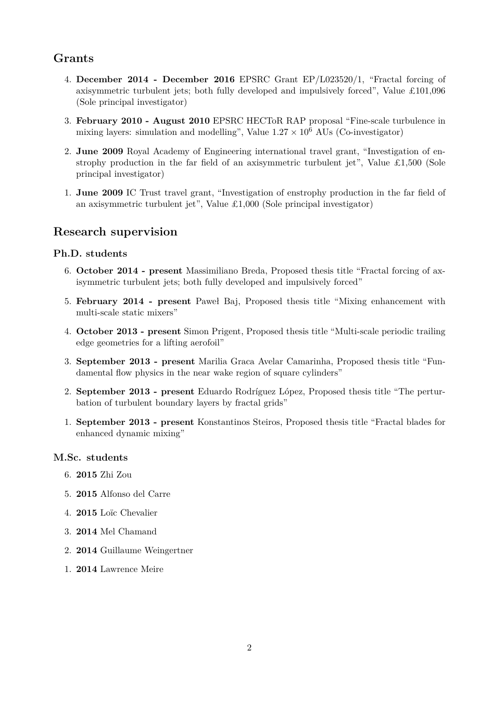## **Grants**

- 4. **December 2014 December 2016** EPSRC Grant EP/L023520/1, "Fractal forcing of axisymmetric turbulent jets; both fully developed and impulsively forced", Value £101,096 (Sole principal investigator)
- 3. **February 2010 August 2010** EPSRC HECToR RAP proposal "Fine-scale turbulence in mixing layers: simulation and modelling", Value  $1.27 \times 10^6$  AUs (Co-investigator)
- 2. **June 2009** Royal Academy of Engineering international travel grant, "Investigation of enstrophy production in the far field of an axisymmetric turbulent jet", Value  $\pounds1,500$  (Sole principal investigator)
- 1. **June 2009** IC Trust travel grant, "Investigation of enstrophy production in the far field of an axisymmetric turbulent jet", Value  $\pounds1,000$  (Sole principal investigator)

### **Research supervision**

#### **Ph.D. students**

- 6. **October 2014 present** Massimiliano Breda, Proposed thesis title "Fractal forcing of axisymmetric turbulent jets; both fully developed and impulsively forced"
- 5. **February 2014 present** Paweł Baj, Proposed thesis title "Mixing enhancement with multi-scale static mixers"
- 4. **October 2013 present** Simon Prigent, Proposed thesis title "Multi-scale periodic trailing edge geometries for a lifting aerofoil"
- 3. **September 2013 present** Marilia Graca Avelar Camarinha, Proposed thesis title "Fundamental flow physics in the near wake region of square cylinders"
- 2. **September 2013 present** Eduardo Rodríguez López, Proposed thesis title "The perturbation of turbulent boundary layers by fractal grids"
- 1. **September 2013 present** Konstantinos Steiros, Proposed thesis title "Fractal blades for enhanced dynamic mixing"

#### **M.Sc. students**

- 6. **2015** Zhi Zou
- 5. **2015** Alfonso del Carre
- 4. **2015** Loïc Chevalier
- 3. **2014** Mel Chamand
- 2. **2014** Guillaume Weingertner
- 1. **2014** Lawrence Meire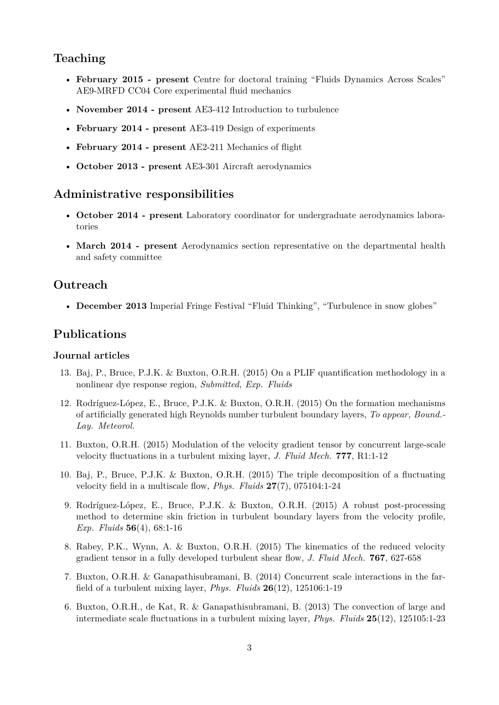### **Teaching**

- **February 2015 present** Centre for doctoral training "Fluids Dynamics Across Scales" AE9-MRFD CC04 Core experimental fluid mechanics
- **November 2014 present** AE3-412 Introduction to turbulence
- **February 2014 present** AE3-419 Design of experiments
- **February 2014 present** AE2-211 Mechanics of flight
- **October 2013 present** AE3-301 Aircraft aerodynamics

### **Administrative responsibilities**

- **October 2014 present** Laboratory coordinator for undergraduate aerodynamics laboratories
- **March 2014 present** Aerodynamics section representative on the departmental health and safety committee

### **Outreach**

• **December 2013** Imperial Fringe Festival "Fluid Thinking", "Turbulence in snow globes"

### **Publications**

#### **Journal articles**

- 13. Baj, P., Bruce, P.J.K. & Buxton, O.R.H. (2015) On a PLIF quantification methodology in a nonlinear dye response region, *Submitted, Exp. Fluids*
- 12. Rodríguez-López, E., Bruce, P.J.K. & Buxton, O.R.H. (2015) On the formation mechanisms of artificially generated high Reynolds number turbulent boundary layers, *To appear, Bound.- Lay. Meteorol.*
- 11. Buxton, O.R.H. (2015) Modulation of the velocity gradient tensor by concurrent large-scale velocity fluctuations in a turbulent mixing layer, *J. Fluid Mech.* **777**, R1:1-12
- 10. Baj, P., Bruce, P.J.K. & Buxton, O.R.H. (2015) The triple decomposition of a fluctuating velocity field in a multiscale flow, *Phys. Fluids* **27**(7), 075104:1-24
- 9. Rodríguez-López, E., Bruce, P.J.K. & Buxton, O.R.H. (2015) A robust post-processing method to determine skin friction in turbulent boundary layers from the velocity profile, *Exp. Fluids* **56**(4), 68:1-16
- 8. Rabey, P.K., Wynn, A. & Buxton, O.R.H. (2015) The kinematics of the reduced velocity gradient tensor in a fully developed turbulent shear flow, *J. Fluid Mech.* **767**, 627-658
- 7. Buxton, O.R.H. & Ganapathisubramani, B. (2014) Concurrent scale interactions in the farfield of a turbulent mixing layer, *Phys. Fluids* **26**(12), 125106:1-19
- 6. Buxton, O.R.H., de Kat, R. & Ganapathisubramani, B. (2013) The convection of large and intermediate scale fluctuations in a turbulent mixing layer, *Phys. Fluids* **25**(12), 125105:1-23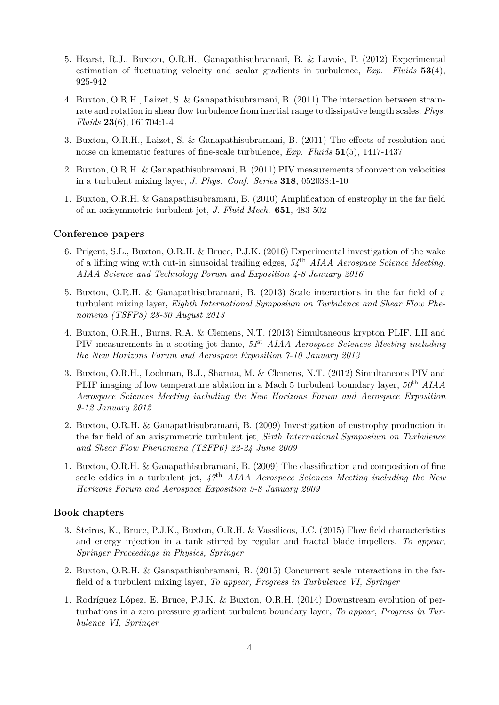- 5. Hearst, R.J., Buxton, O.R.H., Ganapathisubramani, B. & Lavoie, P. (2012) Experimental estimation of fluctuating velocity and scalar gradients in turbulence, *Exp. Fluids* **53**(4), 925-942
- 4. Buxton, O.R.H., Laizet, S. & Ganapathisubramani, B. (2011) The interaction between strainrate and rotation in shear flow turbulence from inertial range to dissipative length scales, *Phys. Fluids* **23**(6), 061704:1-4
- 3. Buxton, O.R.H., Laizet, S. & Ganapathisubramani, B. (2011) The effects of resolution and noise on kinematic features of fine-scale turbulence, *Exp. Fluids* **51**(5), 1417-1437
- 2. Buxton, O.R.H. & Ganapathisubramani, B. (2011) PIV measurements of convection velocities in a turbulent mixing layer, *J. Phys. Conf. Series* **318**, 052038:1-10
- 1. Buxton, O.R.H. & Ganapathisubramani, B. (2010) Amplification of enstrophy in the far field of an axisymmetric turbulent jet, *J. Fluid Mech.* **651**, 483-502

#### **Conference papers**

- 6. Prigent, S.L., Buxton, O.R.H. & Bruce, P.J.K. (2016) Experimental investigation of the wake of a lifting wing with cut-in sinusoidal trailing edges, *54*th *AIAA Aerospace Science Meeting, AIAA Science and Technology Forum and Exposition 4-8 January 2016*
- 5. Buxton, O.R.H. & Ganapathisubramani, B. (2013) Scale interactions in the far field of a turbulent mixing layer, *Eighth International Symposium on Turbulence and Shear Flow Phenomena (TSFP8) 28-30 August 2013*
- 4. Buxton, O.R.H., Burns, R.A. & Clemens, N.T. (2013) Simultaneous krypton PLIF, LII and PIV measurements in a sooting jet flame, *51*st *AIAA Aerospace Sciences Meeting including the New Horizons Forum and Aerospace Exposition 7-10 January 2013*
- 3. Buxton, O.R.H., Lochman, B.J., Sharma, M. & Clemens, N.T. (2012) Simultaneous PIV and PLIF imaging of low temperature ablation in a Mach 5 turbulent boundary layer, *50*th *AIAA Aerospace Sciences Meeting including the New Horizons Forum and Aerospace Exposition 9-12 January 2012*
- 2. Buxton, O.R.H. & Ganapathisubramani, B. (2009) Investigation of enstrophy production in the far field of an axisymmetric turbulent jet, *Sixth International Symposium on Turbulence and Shear Flow Phenomena (TSFP6) 22-24 June 2009*
- 1. Buxton, O.R.H. & Ganapathisubramani, B. (2009) The classification and composition of fine scale eddies in a turbulent jet, *47*th *AIAA Aerospace Sciences Meeting including the New Horizons Forum and Aerospace Exposition 5-8 January 2009*

#### **Book chapters**

- 3. Steiros, K., Bruce, P.J.K., Buxton, O.R.H. & Vassilicos, J.C. (2015) Flow field characteristics and energy injection in a tank stirred by regular and fractal blade impellers, *To appear, Springer Proceedings in Physics, Springer*
- 2. Buxton, O.R.H. & Ganapathisubramani, B. (2015) Concurrent scale interactions in the farfield of a turbulent mixing layer, *To appear, Progress in Turbulence VI, Springer*
- 1. Rodríguez López, E. Bruce, P.J.K. & Buxton, O.R.H. (2014) Downstream evolution of perturbations in a zero pressure gradient turbulent boundary layer, *To appear, Progress in Turbulence VI, Springer*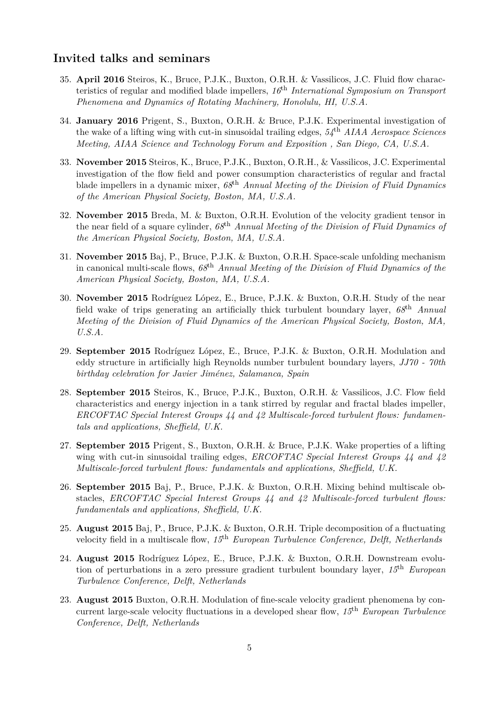### **Invited talks and seminars**

- 35. **April 2016** Steiros, K., Bruce, P.J.K., Buxton, O.R.H. & Vassilicos, J.C. Fluid flow characteristics of regular and modified blade impellers, *16*th *International Symposium on Transport Phenomena and Dynamics of Rotating Machinery, Honolulu, HI, U.S.A.*
- 34. **January 2016** Prigent, S., Buxton, O.R.H. & Bruce, P.J.K. Experimental investigation of the wake of a lifting wing with cut-in sinusoidal trailing edges, *54*th *AIAA Aerospace Sciences Meeting, AIAA Science and Technology Forum and Exposition , San Diego, CA, U.S.A.*
- 33. **November 2015** Steiros, K., Bruce, P.J.K., Buxton, O.R.H., & Vassilicos, J.C. Experimental investigation of the flow field and power consumption characteristics of regular and fractal blade impellers in a dynamic mixer, *68*th *Annual Meeting of the Division of Fluid Dynamics of the American Physical Society, Boston, MA, U.S.A.*
- 32. **November 2015** Breda, M. & Buxton, O.R.H. Evolution of the velocity gradient tensor in the near field of a square cylinder, *68*th *Annual Meeting of the Division of Fluid Dynamics of the American Physical Society, Boston, MA, U.S.A.*
- 31. **November 2015** Baj, P., Bruce, P.J.K. & Buxton, O.R.H. Space-scale unfolding mechanism in canonical multi-scale flows, *68*th *Annual Meeting of the Division of Fluid Dynamics of the American Physical Society, Boston, MA, U.S.A.*
- 30. **November 2015** Rodríguez López, E., Bruce, P.J.K. & Buxton, O.R.H. Study of the near field wake of trips generating an artificially thick turbulent boundary layer, *68*th *Annual Meeting of the Division of Fluid Dynamics of the American Physical Society, Boston, MA, U.S.A.*
- 29. **September 2015** Rodríguez López, E., Bruce, P.J.K. & Buxton, O.R.H. Modulation and eddy structure in artificially high Reynolds number turbulent boundary layers, *JJ70 - 70th birthday celebration for Javier Jiménez, Salamanca, Spain*
- 28. **September 2015** Steiros, K., Bruce, P.J.K., Buxton, O.R.H. & Vassilicos, J.C. Flow field characteristics and energy injection in a tank stirred by regular and fractal blades impeller, *ERCOFTAC Special Interest Groups 44 and 42 Multiscale-forced turbulent flows: fundamentals and applications, Sheffield, U.K.*
- 27. **September 2015** Prigent, S., Buxton, O.R.H. & Bruce, P.J.K. Wake properties of a lifting wing with cut-in sinusoidal trailing edges, *ERCOFTAC Special Interest Groups 44 and 42 Multiscale-forced turbulent flows: fundamentals and applications, Sheffield, U.K.*
- 26. **September 2015** Baj, P., Bruce, P.J.K. & Buxton, O.R.H. Mixing behind multiscale obstacles, *ERCOFTAC Special Interest Groups 44 and 42 Multiscale-forced turbulent flows: fundamentals and applications, Sheffield, U.K.*
- 25. **August 2015** Baj, P., Bruce, P.J.K. & Buxton, O.R.H. Triple decomposition of a fluctuating velocity field in a multiscale flow, *15*th *European Turbulence Conference, Delft, Netherlands*
- 24. **August 2015** Rodríguez López, E., Bruce, P.J.K. & Buxton, O.R.H. Downstream evolution of perturbations in a zero pressure gradient turbulent boundary layer, *15*th *European Turbulence Conference, Delft, Netherlands*
- 23. **August 2015** Buxton, O.R.H. Modulation of fine-scale velocity gradient phenomena by concurrent large-scale velocity fluctuations in a developed shear flow, *15*th *European Turbulence Conference, Delft, Netherlands*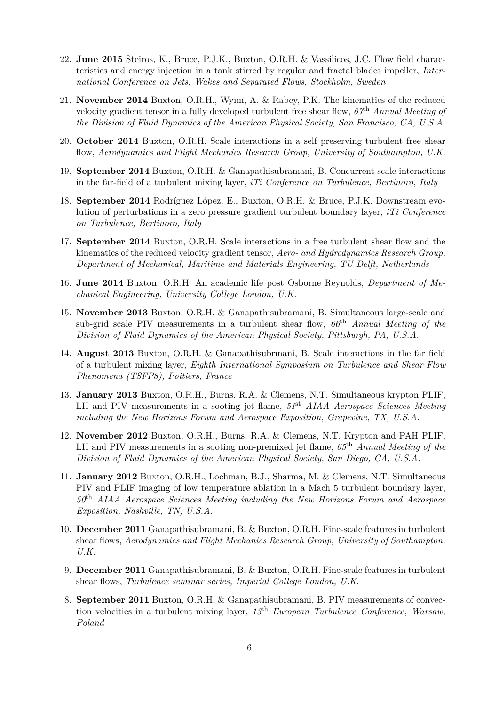- 22. **June 2015** Steiros, K., Bruce, P.J.K., Buxton, O.R.H. & Vassilicos, J.C. Flow field characteristics and energy injection in a tank stirred by regular and fractal blades impeller, *International Conference on Jets, Wakes and Separated Flows, Stockholm, Sweden*
- 21. **November 2014** Buxton, O.R.H., Wynn, A. & Rabey, P.K. The kinematics of the reduced velocity gradient tensor in a fully developed turbulent free shear flow, *67*th *Annual Meeting of the Division of Fluid Dynamics of the American Physical Society, San Francisco, CA, U.S.A.*
- 20. **October 2014** Buxton, O.R.H. Scale interactions in a self preserving turbulent free shear flow, *Aerodynamics and Flight Mechanics Research Group, University of Southampton, U.K.*
- 19. **September 2014** Buxton, O.R.H. & Ganapathisubramani, B. Concurrent scale interactions in the far-field of a turbulent mixing layer, *iTi Conference on Turbulence, Bertinoro, Italy*
- 18. **September 2014** Rodríguez López, E., Buxton, O.R.H. & Bruce, P.J.K. Downstream evolution of perturbations in a zero pressure gradient turbulent boundary layer, *iTi Conference on Turbulence, Bertinoro, Italy*
- 17. **September 2014** Buxton, O.R.H. Scale interactions in a free turbulent shear flow and the kinematics of the reduced velocity gradient tensor, *Aero- and Hydrodynamics Research Group, Department of Mechanical, Maritime and Materials Engineering, TU Delft, Netherlands*
- 16. **June 2014** Buxton, O.R.H. An academic life post Osborne Reynolds, *Department of Mechanical Engineering, University College London, U.K.*
- 15. **November 2013** Buxton, O.R.H. & Ganapathisubramani, B. Simultaneous large-scale and sub-grid scale PIV measurements in a turbulent shear flow, *66*th *Annual Meeting of the Division of Fluid Dynamics of the American Physical Society, Pittsburgh, PA, U.S.A.*
- 14. **August 2013** Buxton, O.R.H. & Ganapathisubrmani, B. Scale interactions in the far field of a turbulent mixing layer, *Eighth International Symposium on Turbulence and Shear Flow Phenomena (TSFP8), Poitiers, France*
- 13. **January 2013** Buxton, O.R.H., Burns, R.A. & Clemens, N.T. Simultaneous krypton PLIF, LII and PIV measurements in a sooting jet flame, *51*st *AIAA Aerospace Sciences Meeting including the New Horizons Forum and Aerospace Exposition, Grapevine, TX, U.S.A.*
- 12. **November 2012** Buxton, O.R.H., Burns, R.A. & Clemens, N.T. Krypton and PAH PLIF, LII and PIV measurements in a sooting non-premixed jet flame, *65*th *Annual Meeting of the Division of Fluid Dynamics of the American Physical Society, San Diego, CA, U.S.A.*
- 11. **January 2012** Buxton, O.R.H., Lochman, B.J., Sharma, M. & Clemens, N.T. Simultaneous PIV and PLIF imaging of low temperature ablation in a Mach 5 turbulent boundary layer, *50*th *AIAA Aerospace Sciences Meeting including the New Horizons Forum and Aerospace Exposition, Nashville, TN, U.S.A.*
- 10. **December 2011** Ganapathisubramani, B. & Buxton, O.R.H. Fine-scale features in turbulent shear flows, *Aerodynamics and Flight Mechanics Research Group, University of Southampton, U.K.*
- 9. **December 2011** Ganapathisubramani, B. & Buxton, O.R.H. Fine-scale features in turbulent shear flows, *Turbulence seminar series, Imperial College London, U.K.*
- 8. **September 2011** Buxton, O.R.H. & Ganapathisubramani, B. PIV measurements of convection velocities in a turbulent mixing layer, *13*th *European Turbulence Conference, Warsaw, Poland*